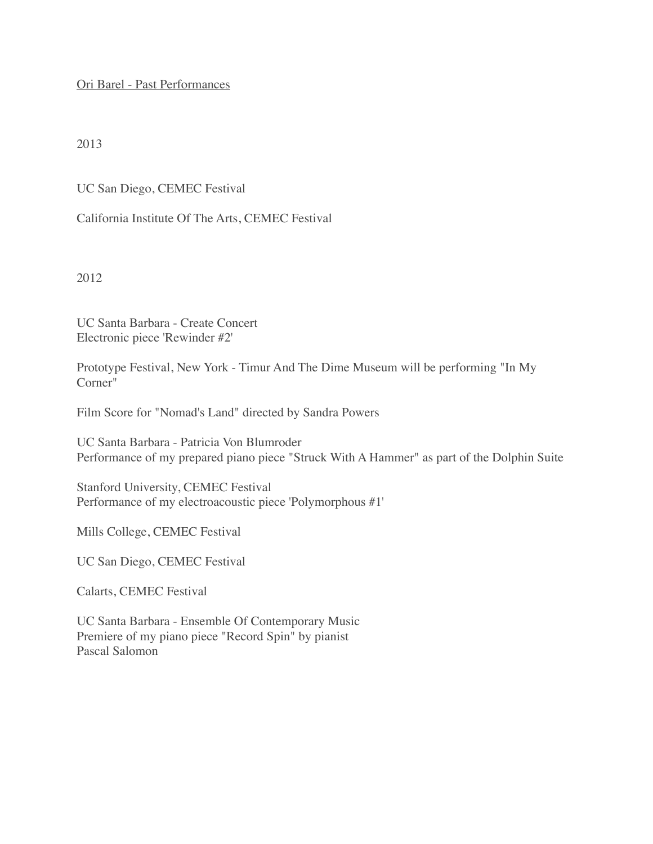Ori Barel - Past Performances

2013

UC San Diego, CEMEC Festival

California Institute Of The Arts, CEMEC Festival

2012

UC Santa Barbara - Create Concert Electronic piece 'Rewinder #2'

Prototype Festival, New York - Timur And The Dime Museum will be performing "In My Corner"

Film Score for "Nomad's Land" directed by Sandra Powers

UC Santa Barbara - Patricia Von Blumroder Performance of my prepared piano piece "Struck With A Hammer" as part of the Dolphin Suite

Stanford University, CEMEC Festival Performance of my electroacoustic piece 'Polymorphous #1'

Mills College, CEMEC Festival

UC San Diego, CEMEC Festival

Calarts, CEMEC Festival

UC Santa Barbara - Ensemble Of Contemporary Music Premiere of my piano piece "Record Spin" by pianist Pascal Salomon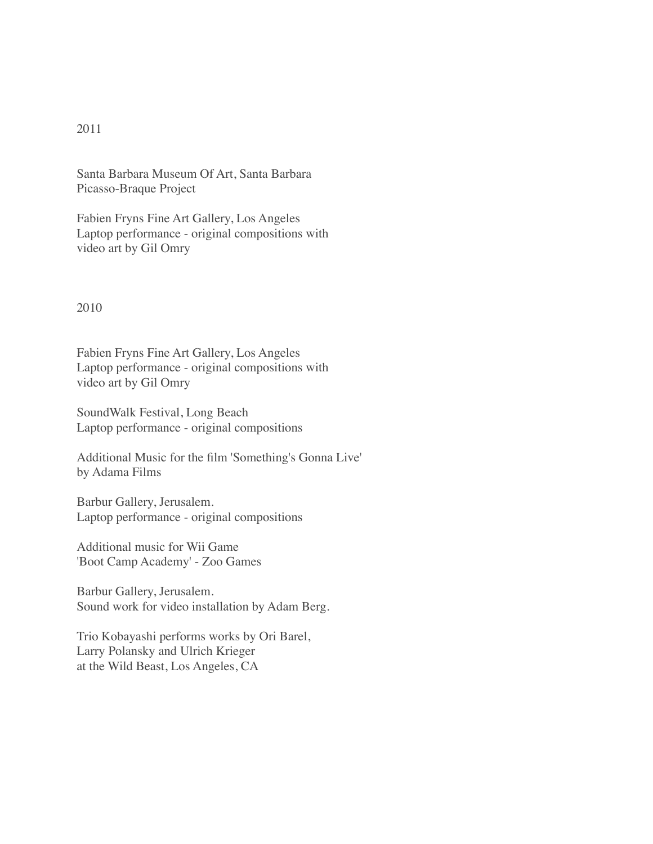## 2011

Santa Barbara Museum Of Art, Santa Barbara Picasso-Braque Project

Fabien Fryns Fine Art Gallery, Los Angeles Laptop performance - original compositions with video art by Gil Omry

2010

Fabien Fryns Fine Art Gallery, Los Angeles Laptop performance - original compositions with video art by Gil Omry

SoundWalk Festival, Long Beach Laptop performance - original compositions

Additional Music for the film 'Something's Gonna Live' by Adama Films

Barbur Gallery, Jerusalem. Laptop performance - original compositions

Additional music for Wii Game 'Boot Camp Academy' - Zoo Games

Barbur Gallery, Jerusalem. Sound work for video installation by Adam Berg.

Trio Kobayashi performs works by Ori Barel, Larry Polansky and Ulrich Krieger at the Wild Beast, Los Angeles, CA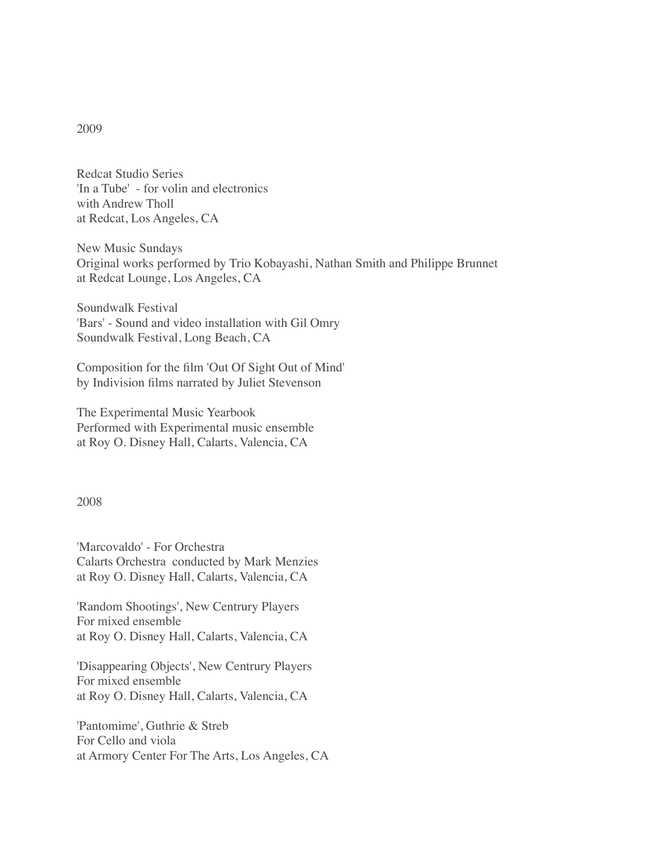## 2009

Redcat Studio Series 'In a Tube' - for volin and electronics with Andrew Tholl at Redcat, Los Angeles, CA

New Music Sundays Original works performed by Trio Kobayashi, Nathan Smith and Philippe Brunnet at Redcat Lounge, Los Angeles, CA

Soundwalk Festival 'Bars' - Sound and video installation with Gil Omry Soundwalk Festival, Long Beach, CA

Composition for the film 'Out Of Sight Out of Mind' by Indivision films narrated by Juliet Stevenson

The Experimental Music Yearbook Performed with Experimental music ensemble at Roy O. Disney Hall, Calarts, Valencia, CA

## 2008

'Marcovaldo' - For Orchestra Calarts Orchestra conducted by Mark Menzies at Roy O. Disney Hall, Calarts, Valencia, CA

'Random Shootings', New Centrury Players For mixed ensemble at Roy O. Disney Hall, Calarts, Valencia, CA

'Disappearing Objects', New Centrury Players For mixed ensemble at Roy O. Disney Hall, Calarts, Valencia, CA

'Pantomime', Guthrie & Streb For Cello and viola at Armory Center For The Arts, Los Angeles, CA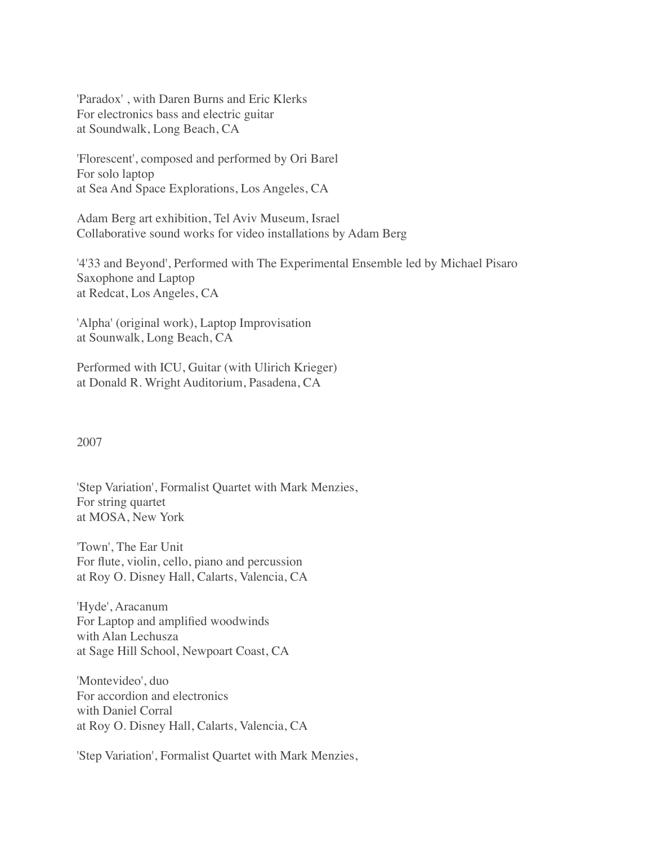'Paradox' , with Daren Burns and Eric Klerks For electronics bass and electric guitar at Soundwalk, Long Beach, CA

'Florescent', composed and performed by Ori Barel For solo laptop at Sea And Space Explorations, Los Angeles, CA

Adam Berg art exhibition, Tel Aviv Museum, Israel Collaborative sound works for video installations by Adam Berg

'4'33 and Beyond', Performed with The Experimental Ensemble led by Michael Pisaro Saxophone and Laptop at Redcat, Los Angeles, CA

'Alpha' (original work), Laptop Improvisation at Sounwalk, Long Beach, CA

Performed with ICU, Guitar (with Ulirich Krieger) at Donald R. Wright Auditorium, Pasadena, CA

## 2007

'Step Variation', Formalist Quartet with Mark Menzies, For string quartet at MOSA, New York

'Town', The Ear Unit For flute, violin, cello, piano and percussion at Roy O. Disney Hall, Calarts, Valencia, CA

'Hyde', Aracanum For Laptop and amplified woodwinds with Alan Lechusza at Sage Hill School, Newpoart Coast, CA

'Montevideo', duo For accordion and electronics with Daniel Corral at Roy O. Disney Hall, Calarts, Valencia, CA

'Step Variation', Formalist Quartet with Mark Menzies,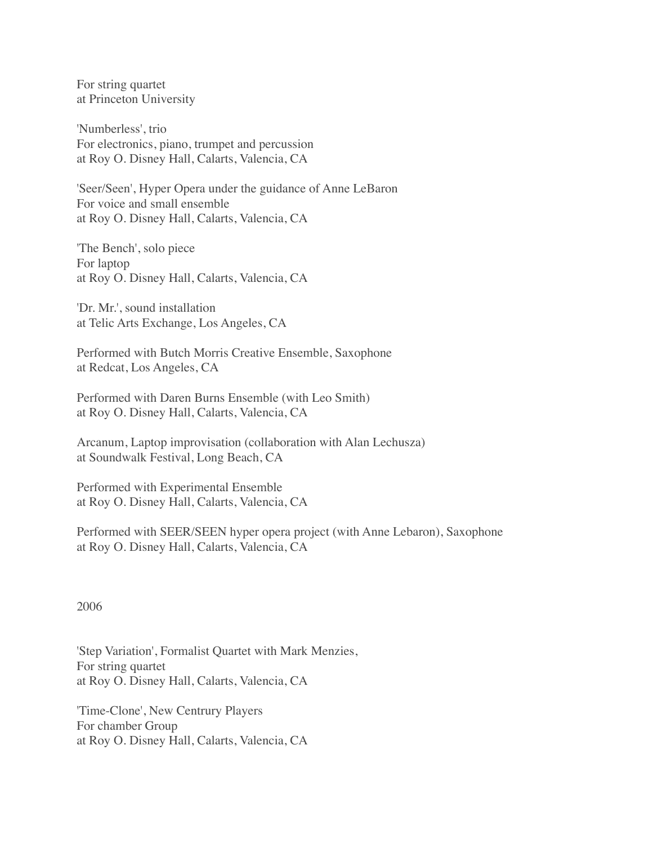For string quartet at Princeton University

'Numberless', trio For electronics, piano, trumpet and percussion at Roy O. Disney Hall, Calarts, Valencia, CA

'Seer/Seen', Hyper Opera under the guidance of Anne LeBaron For voice and small ensemble at Roy O. Disney Hall, Calarts, Valencia, CA

'The Bench', solo piece For laptop at Roy O. Disney Hall, Calarts, Valencia, CA

'Dr. Mr.', sound installation at Telic Arts Exchange, Los Angeles, CA

Performed with Butch Morris Creative Ensemble, Saxophone at Redcat, Los Angeles, CA

Performed with Daren Burns Ensemble (with Leo Smith) at Roy O. Disney Hall, Calarts, Valencia, CA

Arcanum, Laptop improvisation (collaboration with Alan Lechusza) at Soundwalk Festival, Long Beach, CA

Performed with Experimental Ensemble at Roy O. Disney Hall, Calarts, Valencia, CA

Performed with SEER/SEEN hyper opera project (with Anne Lebaron), Saxophone at Roy O. Disney Hall, Calarts, Valencia, CA

2006

'Step Variation', Formalist Quartet with Mark Menzies, For string quartet at Roy O. Disney Hall, Calarts, Valencia, CA

'Time-Clone', New Centrury Players For chamber Group at Roy O. Disney Hall, Calarts, Valencia, CA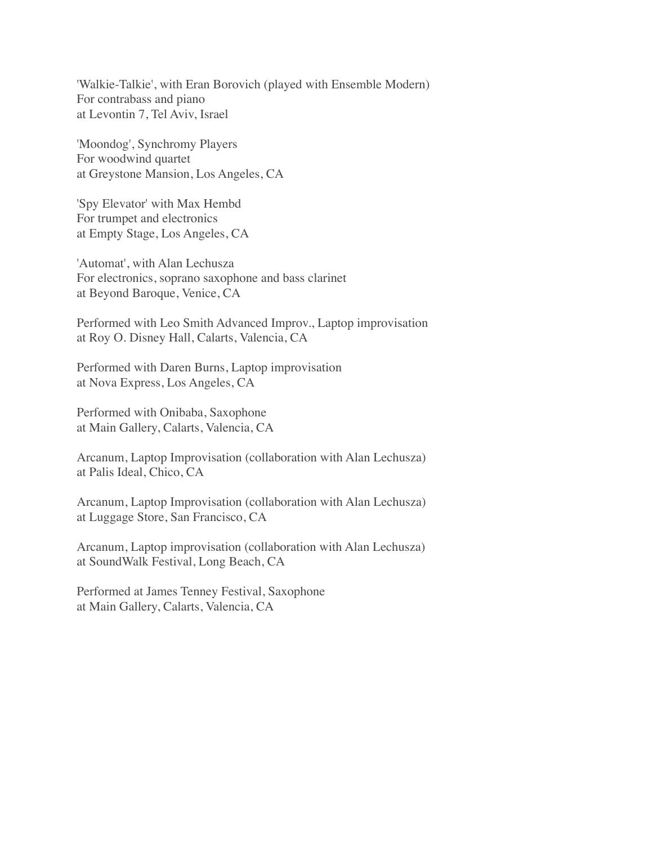'Walkie-Talkie', with Eran Borovich (played with Ensemble Modern) For contrabass and piano at Levontin 7, Tel Aviv, Israel

'Moondog', Synchromy Players For woodwind quartet at Greystone Mansion, Los Angeles, CA

'Spy Elevator' with Max Hembd For trumpet and electronics at Empty Stage, Los Angeles, CA

'Automat', with Alan Lechusza For electronics, soprano saxophone and bass clarinet at Beyond Baroque, Venice, CA

Performed with Leo Smith Advanced Improv., Laptop improvisation at Roy O. Disney Hall, Calarts, Valencia, CA

Performed with Daren Burns, Laptop improvisation at Nova Express, Los Angeles, CA

Performed with Onibaba, Saxophone at Main Gallery, Calarts, Valencia, CA

Arcanum, Laptop Improvisation (collaboration with Alan Lechusza) at Palis Ideal, Chico, CA

Arcanum, Laptop Improvisation (collaboration with Alan Lechusza) at Luggage Store, San Francisco, CA

Arcanum, Laptop improvisation (collaboration with Alan Lechusza) at SoundWalk Festival, Long Beach, CA

Performed at James Tenney Festival, Saxophone at Main Gallery, Calarts, Valencia, CA